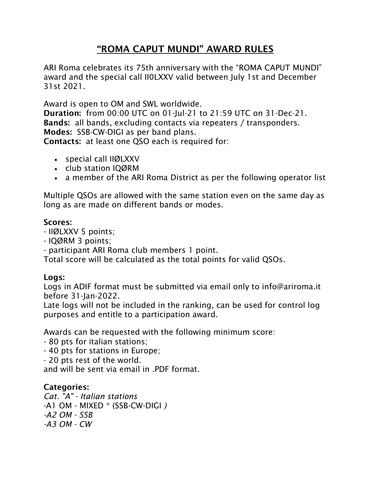# **"ROMA CAPUT MUNDI" AWARD RULES**

ARI Roma celebrates its 75th anniversary with the "ROMA CAPUT MUNDI" *award and the special call II0LXXV valid between July 1st and December 31st 2021.* 

*Award is open to OM and SWL worldwide.* 

**Duration:** *from 00:00 UTC on 01-Jul-21 to 21:59 UTC on 31-Dec-21.* **Bands:** *all bands, excluding contacts via repeaters / transponders.*  **Modes:** *SSB-CW-DIGI as per band plans.*  **Contacts:** *at least one QSO each is required for:* 

- *special call IIØLXXV*
- *club station IQØRM*
- *a member of the ARI Roma District as per the following operator list*

*Multiple QSOs are allowed with the same station even on the same day as long as are made on different bands or modes.* 

#### **Scores:**

- *IIØLXXV 5 points;*
- *IQØRM 3 points;*
- *participant ARI Roma club members 1 point.*

*Total score will be calculated as the total points for valid QSOs.* 

## **Logs:**

*Logs in ADIF format must be submitted via email only to info@ariroma.it before 31-Jan-2022.* 

Late logs will not be included in the ranking, can be used for control log *purposes and entitle to a participation award.* 

*Awards can be requested with the following minimum score:* 

- *80 pts for italian stations;*
- *40 pts for stations in Europe;*
- *20 pts rest of the world.*

*and will be sent via email in .PDF format.* 

## **Categories:**

*Cat. "A" - Italian stations -A1 OM - MIXED \* (SSB-CW-DIGI ) -A2 OM - SSB -A3 OM - CW*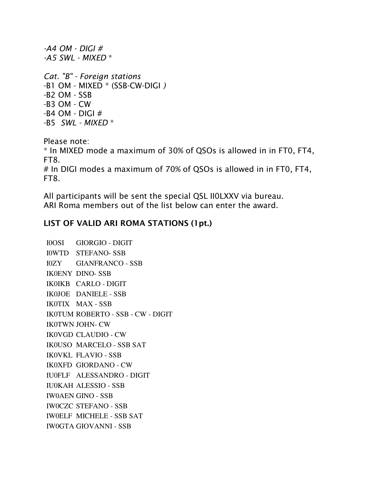*-A5 SWL - MIXED \* Cat. "B" - Foreign stations -B1 OM - MIXED \* (SSB-CW-DIGI ) -B2 OM - SSB -B3 OM - CW -B4 OM - DIGI #* 

*-B5 SWL - MIXED \** 

*-A4 OM - DIGI #*

*Please note: \* In MIXED mode a maximum of 30% of QSOs is allowed in in FT0, FT4, FT8.* 

*# In DIGI modes a maximum of 70% of QSOs is allowed in in FT0, FT4, FT8.* 

*All participants will be sent the special QSL II0LXXV via bureau. ARI Roma members out of the list below can enter the award.* 

#### **LIST OF VALID ARI ROMA STATIONS (1pt.)**

I0OSI GIORGIO - DIGIT I0WTD STEFANO- SSB I0ZY GIANFRANCO - SSB IK0ENY DINO- SSB IK0IKB CARLO - DIGIT IK0JOE DANIELE - SSB IK0TIX MAX - SSB IK0TUM ROBERTO - SSB - CW - DIGIT IK0TWN JOHN- CW IK0VGD CLAUDIO - CW IK0USO MARCELO - SSB SAT IK0VKL FLAVIO - SSB IK0XFD GIORDANO - CW IU0FLF ALESSANDRO - DIGIT IU0KAH ALESSIO - SSB IW0AEN GINO - SSB IW0CZC STEFANO - SSB IW0ELF MICHELE - SSB SAT IW0GTA GIOVANNI - SSB